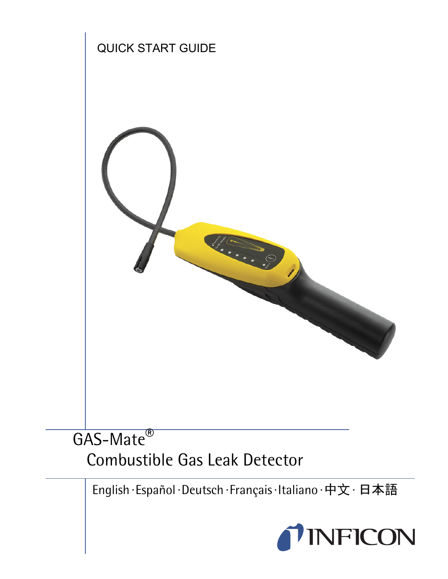

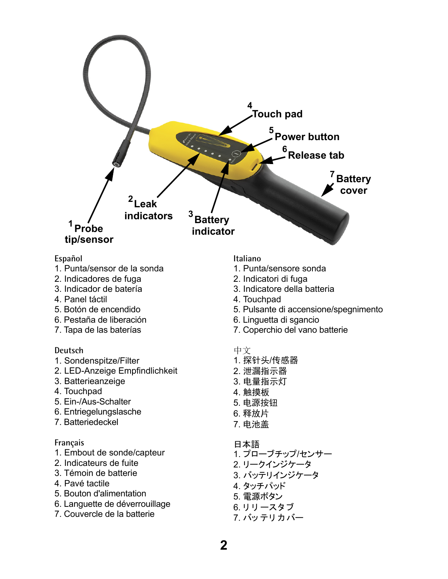

#### **Español**

- 1. Punta/sensor de la sonda
- 2. Indicadores de fuga
- 3. Indicador de batería
- 4. Panel táctil
- 5. Botón de encendido
- 6. Pestaña de liberación
- 7. Tapa de las baterías

### **Deutsch**

- 1. Sondenspitze/Filter
- 2. LED-Anzeige Empfindlichkeit
- 3. Batterieanzeige
- 4. Touchpad
- 5. Ein-/Aus-Schalter
- 6. Entriegelungslasche
- 7. Batteriedeckel

### **Français**

- 1. Embout de sonde/capteur
- 2. Indicateurs de fuite
- 3. Témoin de batterie
- 4. Pavé tactile
- 5. Bouton d'alimentation
- 6. Languette de déverrouillage
- 7. Couvercle de la batterie

### **Italiano**

- 1. Punta/sensore sonda
- 2. Indicatori di fuga
- 3. Indicatore della batteria
- 4. Touchpad
- 5. Pulsante di accensione/spegnimento
- 6. Linguetta di sgancio
- 7. Coperchio del vano batterie

### 中文

- 1. 探针头/传感器
- 2. 泄漏指示器
- 3. 电量指示灯
- 4. 触摸板
- 5. 申源按钮
- 6. 释放片
- 7. ⭫⊖ⴌ

### 日本語

- 1. プローブチップ/センサー 2. リークインジケータ 3. バッテリインジケータ 4. タッチパッド
- 5. 電源ボタン
- 6. リリースタブ
- 7. バッテリカバー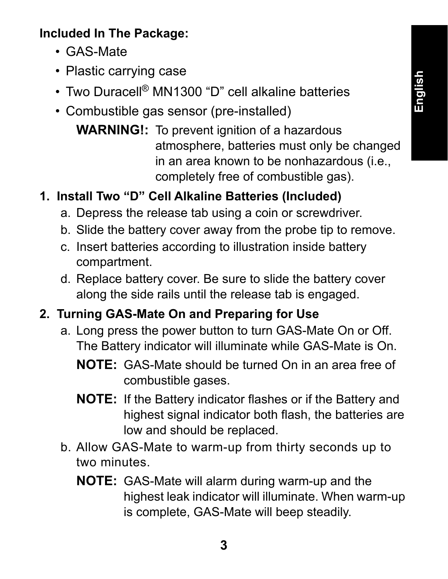# **Included In The Package:**

- GAS-Mate
- Plastic carrying case
- Two Duracell<sup>®</sup> MN1300 "D" cell alkaline batteries
- Combustible gas sensor (pre-installed)
	- **WARNING!:** To prevent ignition of a hazardous atmosphere, batteries must only be changed in an area known to be nonhazardous (i.e., completely free of combustible gas).

# **1. Install Two "D" Cell Alkaline Batteries (Included)**

- a. Depress the release tab using a coin or screwdriver.
- b. Slide the battery cover away from the probe tip to remove.
- c. Insert batteries according to illustration inside battery compartment.
- d. Replace battery cover. Be sure to slide the battery cover along the side rails until the release tab is engaged.

## **2. Turning GAS-Mate On and Preparing for Use**

- a. Long press the power button to turn GAS-Mate On or Off. The Battery indicator will illuminate while GAS-Mate is On.
	- **NOTE:** GAS-Mate should be turned On in an area free of combustible gases.
	- **NOTE:** If the Battery indicator flashes or if the Battery and highest signal indicator both flash, the batteries are low and should be replaced.
- b. Allow GAS-Mate to warm-up from thirty seconds up to two minutes.
	- **NOTE:** GAS-Mate will alarm during warm-up and the highest leak indicator will illuminate. When warm-up is complete, GAS-Mate will beep steadily.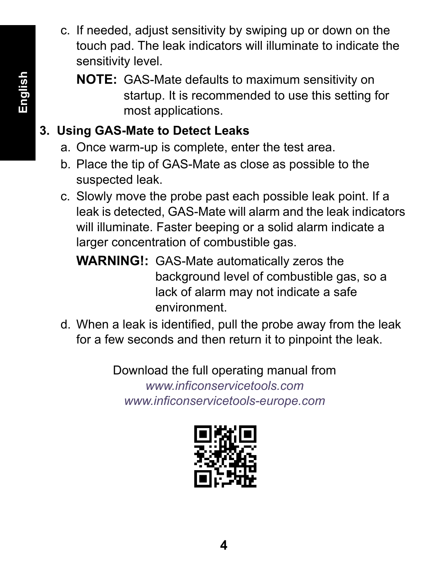- c. If needed, adjust sensitivity by swiping up or down on the touch pad. The leak indicators will illuminate to indicate the sensitivity level.
	- **NOTE:** GAS-Mate defaults to maximum sensitivity on startup. It is recommended to use this setting for most applications.

# **3. Using GAS-Mate to Detect Leaks**

- a. Once warm-up is complete, enter the test area.
- b. Place the tip of GAS-Mate as close as possible to the suspected leak.
- c. Slowly move the probe past each possible leak point. If a leak is detected, GAS-Mate will alarm and the leak indicators will illuminate. Faster beeping or a solid alarm indicate a larger concentration of combustible gas.
	- **WARNING!:** GAS-Mate automatically zeros the background level of combustible gas, so a lack of alarm may not indicate a safe environment.
- d. When a leak is identified, pull the probe away from the leak for a few seconds and then return it to pinpoint the leak.

Download the full operating manual from *www.inficonservicetools.com www.inficonservicetools-europe.com*

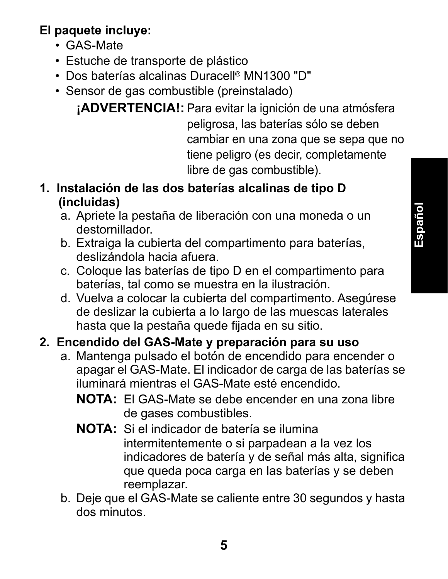## **El paquete incluye:**

- GAS-Mate
- Estuche de transporte de plástico
- Dos baterías alcalinas Duracell® MN1300 "D"
- Sensor de gas combustible (preinstalado)

**¡ADVERTENCIA!:** Para evitar la ignición de una atmósfera peligrosa, las baterías sólo se deben cambiar en una zona que se sepa que no tiene peligro (es decir, completamente libre de gas combustible).

- **1. Instalación de las dos baterías alcalinas de tipo D (incluidas)**
	- a. Apriete la pestaña de liberación con una moneda o un destornillador.
	- b. Extraiga la cubierta del compartimento para baterías, deslizándola hacia afuera.
	- c. Coloque las baterías de tipo D en el compartimento para baterías, tal como se muestra en la ilustración.
	- d. Vuelva a colocar la cubierta del compartimento. Asegúrese de deslizar la cubierta a lo largo de las muescas laterales hasta que la pestaña quede fijada en su sitio.

# **2. Encendido del GAS-Mate y preparación para su uso**

- a. Mantenga pulsado el botón de encendido para encender o apagar el GAS-Mate. El indicador de carga de las baterías se iluminará mientras el GAS-Mate esté encendido.
	- **NOTA:** El GAS-Mate se debe encender en una zona libre de gases combustibles.
	- **NOTA:** Si el indicador de batería se ilumina intermitentemente o si parpadean a la vez los indicadores de batería y de señal más alta, significa que queda poca carga en las baterías y se deben reemplazar.
- b. Deje que el GAS-Mate se caliente entre 30 segundos y hasta dos minutos.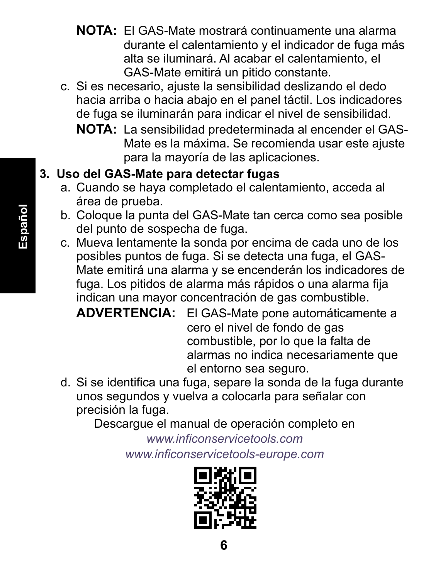- **NOTA:** El GAS-Mate mostrará continuamente una alarma durante el calentamiento y el indicador de fuga más alta se iluminará. Al acabar el calentamiento, el GAS-Mate emitirá un pitido constante.
- c. Si es necesario, ajuste la sensibilidad deslizando el dedo hacia arriba o hacia abajo en el panel táctil. Los indicadores de fuga se iluminarán para indicar el nivel de sensibilidad.
	- **NOTA:** La sensibilidad predeterminada al encender el GAS-Mate es la máxima. Se recomienda usar este ajuste para la mayoría de las aplicaciones.

# **3. Uso del GAS-Mate para detectar fugas**

- a. Cuando se haya completado el calentamiento, acceda al área de prueba.
- b. Coloque la punta del GAS-Mate tan cerca como sea posible del punto de sospecha de fuga.
- c. Mueva lentamente la sonda por encima de cada uno de los posibles puntos de fuga. Si se detecta una fuga, el GAS-Mate emitirá una alarma y se encenderán los indicadores de fuga. Los pitidos de alarma más rápidos o una alarma fija indican una mayor concentración de gas combustible.

**ADVERTENCIA:** El GAS-Mate pone automáticamente a cero el nivel de fondo de gas combustible, por lo que la falta de alarmas no indica necesariamente que el entorno sea seguro.

d. Si se identifica una fuga, separe la sonda de la fuga durante unos segundos y vuelva a colocarla para señalar con precisión la fuga.

Descargue el manual de operación completo en

*www.inficonservicetools.com www.inficonservicetools-europe.com*

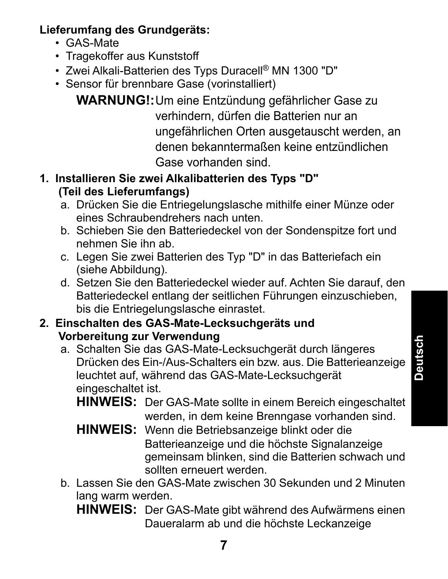## **Lieferumfang des Grundgeräts:**

- GAS-Mate
- Tragekoffer aus Kunststoff
- Zwei Alkali-Batterien des Typs Duracell® MN 1300 "D"
- Sensor für brennbare Gase (vorinstalliert)

**WARNUNG!:**Um eine Entzündung gefährlicher Gase zu verhindern, dürfen die Batterien nur an ungefährlichen Orten ausgetauscht werden, an denen bekanntermaßen keine entzündlichen Gase vorhanden sind.

## **1. Installieren Sie zwei Alkalibatterien des Typs "D" (Teil des Lieferumfangs)**

- a. Drücken Sie die Entriegelungslasche mithilfe einer Münze oder eines Schraubendrehers nach unten.
- b. Schieben Sie den Batteriedeckel von der Sondenspitze fort und nehmen Sie ihn ab.
- c. Legen Sie zwei Batterien des Typ "D" in das Batteriefach ein (siehe Abbildung).
- d. Setzen Sie den Batteriedeckel wieder auf. Achten Sie darauf, den Batteriedeckel entlang der seitlichen Führungen einzuschieben, bis die Entriegelungslasche einrastet.

## **2. Einschalten des GAS-Mate-Lecksuchgeräts und Vorbereitung zur Verwendung**

- a. Schalten Sie das GAS-Mate-Lecksuchgerät durch längeres Drücken des Ein-/Aus-Schalters ein bzw. aus. Die Batterieanzeige leuchtet auf, während das GAS-Mate-Lecksuchgerät eingeschaltet ist.
	- **HINWEIS:** Der GAS-Mate sollte in einem Bereich eingeschaltet werden, in dem keine Brenngase vorhanden sind.
	- **HINWEIS:** Wenn die Betriebsanzeige blinkt oder die Batterieanzeige und die höchste Signalanzeige gemeinsam blinken, sind die Batterien schwach und sollten erneuert werden.
- b. Lassen Sie den GAS-Mate zwischen 30 Sekunden und 2 Minuten lang warm werden.
	- **HINWEIS:** Der GAS-Mate gibt während des Aufwärmens einen Daueralarm ab und die höchste Leckanzeige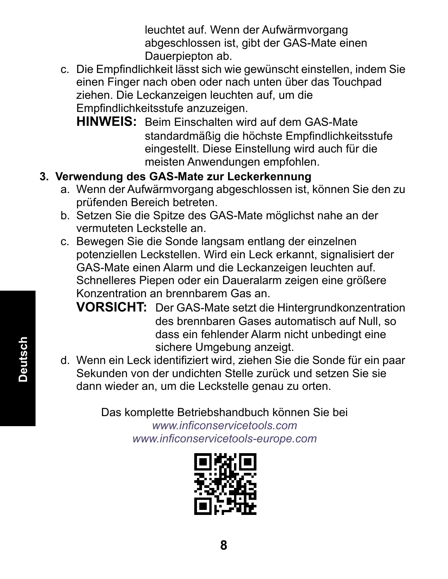leuchtet auf. Wenn der Aufwärmvorgang abgeschlossen ist, gibt der GAS-Mate einen Dauerpiepton ab.

- c. Die Empfindlichkeit lässt sich wie gewünscht einstellen, indem Sie einen Finger nach oben oder nach unten über das Touchpad ziehen. Die Leckanzeigen leuchten auf, um die Empfindlichkeitsstufe anzuzeigen.
	- **HINWEIS:** Beim Einschalten wird auf dem GAS-Mate standardmäßig die höchste Empfindlichkeitsstufe eingestellt. Diese Einstellung wird auch für die meisten Anwendungen empfohlen.
- **3. Verwendung des GAS-Mate zur Leckerkennung**
	- a. Wenn der Aufwärmvorgang abgeschlossen ist, können Sie den zu prüfenden Bereich betreten.
	- b. Setzen Sie die Spitze des GAS-Mate möglichst nahe an der vermuteten Leckstelle an.
	- c. Bewegen Sie die Sonde langsam entlang der einzelnen potenziellen Leckstellen. Wird ein Leck erkannt, signalisiert der GAS-Mate einen Alarm und die Leckanzeigen leuchten auf. Schnelleres Piepen oder ein Daueralarm zeigen eine größere Konzentration an brennbarem Gas an.

**VORSICHT:** Der GAS-Mate setzt die Hintergrundkonzentration des brennbaren Gases automatisch auf Null, so dass ein fehlender Alarm nicht unbedingt eine sichere Umgebung anzeigt.

d. Wenn ein Leck identifiziert wird, ziehen Sie die Sonde für ein paar Sekunden von der undichten Stelle zurück und setzen Sie sie dann wieder an, um die Leckstelle genau zu orten.

> Das komplette Betriebshandbuch können Sie bei *www.inficonservicetools.com www.inficonservicetools-europe.com*

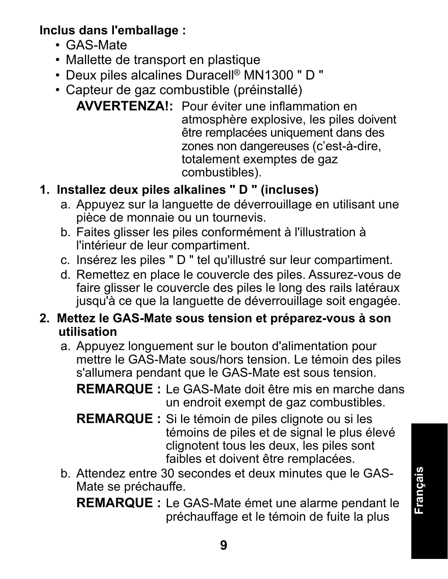**Inclus dans l'emballage :**

- GAS-Mate
- Mallette de transport en plastique
- Deux piles alcalines Duracell® MN1300 " D "
- Capteur de gaz combustible (préinstallé)

**AVVERTENZA!:** Pour éviter une inflammation en atmosphère explosive, les piles doivent être remplacées uniquement dans des zones non dangereuses (c'est-à-dire, totalement exemptes de gaz combustibles).

# **1. Installez deux piles alkalines " D " (incluses)**

- a. Appuyez sur la languette de déverrouillage en utilisant une pièce de monnaie ou un tournevis.
- b. Faites glisser les piles conformément à l'illustration à l'intérieur de leur compartiment.
- c. Insérez les piles " D " tel qu'illustré sur leur compartiment.
- d. Remettez en place le couvercle des piles. Assurez-vous de faire glisser le couvercle des piles le long des rails latéraux jusqu'à ce que la languette de déverrouillage soit engagée.

## **2. Mettez le GAS-Mate sous tension et préparez-vous à son utilisation**

a. Appuyez longuement sur le bouton d'alimentation pour mettre le GAS-Mate sous/hors tension. Le témoin des piles s'allumera pendant que le GAS-Mate est sous tension.

**REMARQUE :** Le GAS-Mate doit être mis en marche dans un endroit exempt de gaz combustibles.

- **REMARQUE :** Si le témoin de piles clignote ou si les témoins de piles et de signal le plus élevé clignotent tous les deux, les piles sont faibles et doivent être remplacées.
- b. Attendez entre 30 secondes et deux minutes que le GAS-Mate se préchauffe.

**REMARQUE :** Le GAS-Mate émet une alarme pendant le préchauffage et le témoin de fuite la plus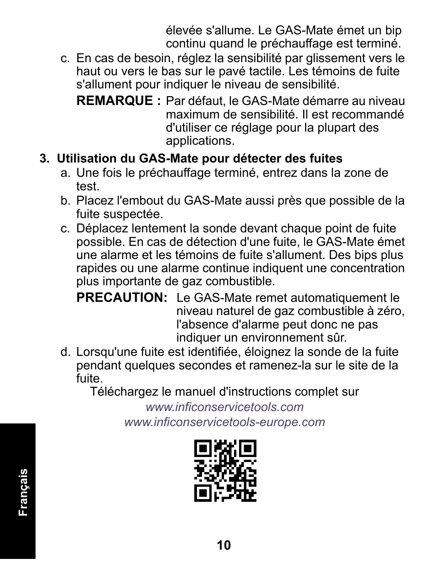élevée s'allume. Le GAS-Mate émet un bip continu quand le préchauffage est terminé.

- c. En cas de besoin, réglez la sensibilité par glissement vers le haut ou vers le bas sur le pavé tactile. Les témoins de fuite s'allument pour indiquer le niveau de sensibilité.
	- **REMARQUE :** Par défaut, le GAS-Mate démarre au niveau maximum de sensibilité. Il est recommandé d'utiliser ce réglage pour la plupart des applications.

## **3. Utilisation du GAS-Mate pour détecter des fuites**

- a. Une fois le préchauffage terminé, entrez dans la zone de test.
- b. Placez l'embout du GAS-Mate aussi près que possible de la fuite suspectée.
- c. Déplacez lentement la sonde devant chaque point de fuite possible. En cas de détection d'une fuite, le GAS-Mate émet une alarme et les témoins de fuite s'allument. Des bips plus rapides ou une alarme continue indiquent une concentration plus importante de gaz combustible.

**PRECAUTION:** Le GAS-Mate remet automatiquement le niveau naturel de gaz combustible à zéro, l'absence d'alarme peut donc ne pas indiquer un environnement sûr.

d. Lorsqu'une fuite est identifiée, éloignez la sonde de la fuite pendant quelques secondes et ramenez-la sur le site de la fuite.

Téléchargez le manuel d'instructions complet sur

*www.inficonservicetools.com www.inficonservicetools-europe.com*

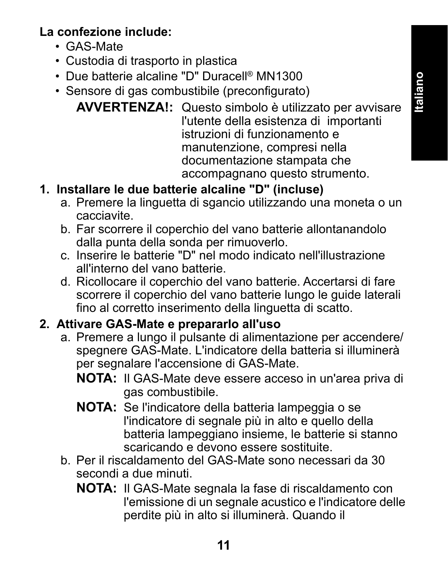## **La confezione include:**

- GAS-Mate
- Custodia di trasporto in plastica
- Due batterie alcaline "D" Duracell® MN1300
- Sensore di gas combustibile (preconfigurato)

**AVVERTENZA!:** Questo simbolo è utilizzato per avvisare l'utente della esistenza di importanti istruzioni di funzionamento e manutenzione, compresi nella documentazione stampata che accompagnano questo strumento.

## **1. Installare le due batterie alcaline "D" (incluse)**

- a. Premere la linguetta di sgancio utilizzando una moneta o un cacciavite.
- b. Far scorrere il coperchio del vano batterie allontanandolo dalla punta della sonda per rimuoverlo.
- c. Inserire le batterie "D" nel modo indicato nell'illustrazione all'interno del vano batterie.
- d. Ricollocare il coperchio del vano batterie. Accertarsi di fare scorrere il coperchio del vano batterie lungo le guide laterali fino al corretto inserimento della linguetta di scatto.

## **2. Attivare GAS-Mate e prepararlo all'uso**

- a. Premere a lungo il pulsante di alimentazione per accendere/ spegnere GAS-Mate. L'indicatore della batteria si illuminerà per segnalare l'accensione di GAS-Mate.
	- **NOTA:** Il GAS-Mate deve essere acceso in un'area priva di gas combustibile.
	- **NOTA:** Se l'indicatore della batteria lampeggia o se l'indicatore di segnale più in alto e quello della batteria lampeggiano insieme, le batterie si stanno scaricando e devono essere sostituite.
- b. Per il riscaldamento del GAS-Mate sono necessari da 30 secondi a due minuti.
	- **NOTA:** Il GAS-Mate segnala la fase di riscaldamento con l'emissione di un segnale acustico e l'indicatore delle perdite più in alto si illuminerà. Quando il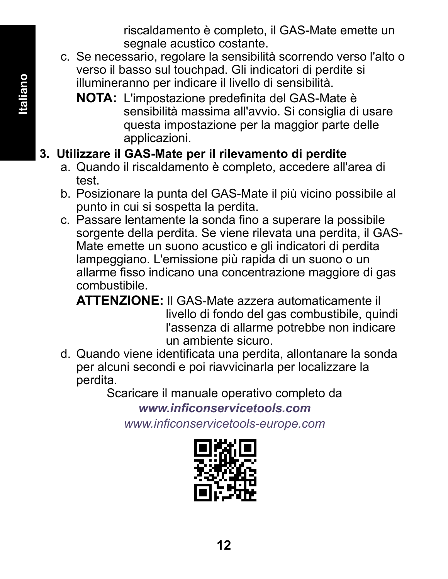riscaldamento è completo, il GAS-Mate emette un segnale acustico costante.

- c. Se necessario, regolare la sensibilità scorrendo verso l'alto o verso il basso sul touchpad. Gli indicatori di perdite si illumineranno per indicare il livello di sensibilità.
	- **NOTA:** L'impostazione predefinita del GAS-Mate è sensibilità massima all'avvio. Si consiglia di usare questa impostazione per la maggior parte delle applicazioni.

# **3. Utilizzare il GAS-Mate per il rilevamento di perdite**

- a. Quando il riscaldamento è completo, accedere all'area di test.
- b. Posizionare la punta del GAS-Mate il più vicino possibile al punto in cui si sospetta la perdita.
- c. Passare lentamente la sonda fino a superare la possibile sorgente della perdita. Se viene rilevata una perdita, il GAS-Mate emette un suono acustico e gli indicatori di perdita lampeggiano. L'emissione più rapida di un suono o un allarme fisso indicano una concentrazione maggiore di gas combustibile.

**ATTENZIONE:** Il GAS-Mate azzera automaticamente il livello di fondo del gas combustibile, quindi l'assenza di allarme potrebbe non indicare un ambiente sicuro.

d. Quando viene identificata una perdita, allontanare la sonda per alcuni secondi e poi riavvicinarla per localizzare la perdita.

Scaricare il manuale operativo completo da

*www.inficonservicetools.com www.inficonservicetools-europe.com*

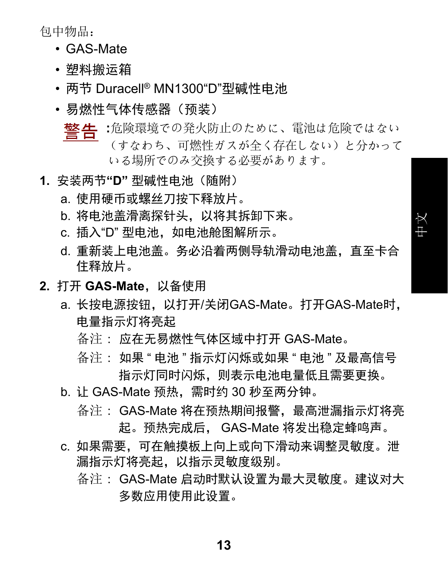包中物品:

- GAS-Mate
- 塑料搬运箱
- 两节 Duracell® MN1300"D"型碱性电池
- •易燃性气体传感器(预装)
	- **警告:**危険環境での発火防止のために、電池は危険ではない (すなわち、可燃性ガスが全く存在しない)と分かって いる場所でのみ交換する必要があります。
- 1. 安装两节"D" 型碱性电池 ( **随附**)
	- a. 使用硬币或螺丝刀按下释放片。
	- b. 将电池盖滑离探针头, 以将其拆卸下来。
	- c. 插入"D" 型电池, 如电池舱图解所示。
	- d. 重新装上电池盖。务必沿着两侧导轨滑动电池盖, 直至卡合 住释放片。

ѝ᮷

- **2. 打开 GAS-Mate. 以备使用** 
	- a. 长按电源按钮, 以打开/关闭GAS-Mate。打开GAS-Mate时, 由量指示灯将亭起
		- 备注 : 应在无易燃性气体区域中打开 GAS-Mate。
		- " 各注: 如果 " 电池 " 指示灯闪烁或如果 " 电池 " 及最高信号 指示灯同时闪烁,则表示电池申量低且需要更换。
	- b. it GAS-Mate 预热, 需时约 30 秒至两分钟。
		- 备注: GAS-Mate 将在预热期间报警,最高泄漏指示灯将亮 起。预热完成后, GAS-Mate 将发出稳定蜂鸣声。
	- c. 如果需要. 可在触摸板上向上或向下滑动来调整灵敏度。泄 漏指示灯将亮起,以指示灵敏度级别。 各注: GAS-Mate 启动时默认设置为最大灵敏度。建议对大
		- 多数应用使用此设置。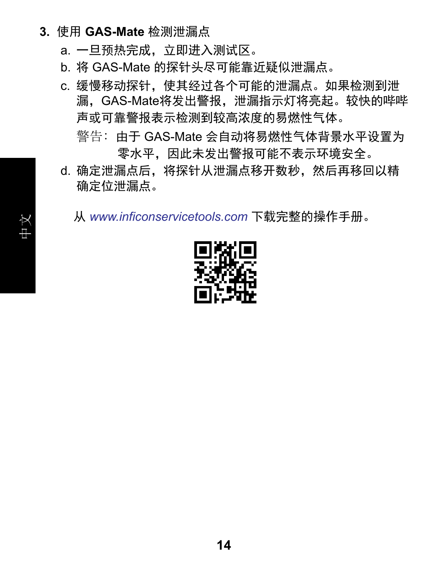- 3. 使用 GAS-Mate 检测泄漏点
	- a. 一旦预热完成. 立即进入测试区。
	- b. 将 GAS-Mate 的探针头尽可能靠近疑似泄漏点。
	- c. 缓慢移动探针,使其经过各个可能的泄漏点。如果检测到泄 漏. GAS-Mate将发出警报. 泄漏指示灯将亮起。较快的哔哔 声或可靠警报表示检测到较高浓度的易燃性气体。 警告: 由于 GAS-Mate 会自动将易燃性气体背暑水平设置为
	- 零水平.因此未发出警报可能不表示环境安全。 d. 确定泄漏点后,将探针从泄漏点移开数秒,然后再移回以精 确定位泄漏点。

从 www.inficonservicetools.com 下载完整的操作手册。

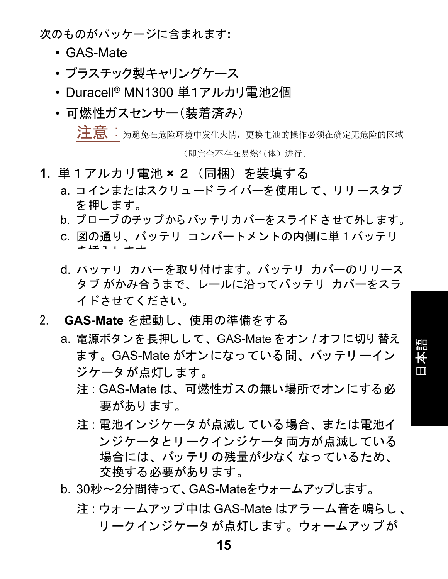\*\*<br /> **/ /**  $\mathbf{x} \in \mathbb{R}$  and  $\mathbf{x} \in \mathbb{R}$  and  $\mathbf{x} \in \mathbb{R}$  and  $\mathbf{x} \in \mathbb{R}$  and  $\mathbf{x} \in \mathbb{R}$  and  $\mathbf{x} \in \mathbb{R}$  and  $\mathbf{x} \in \mathbb{R}$  and  $\mathbf{x} \in \mathbb{R}$  and  $\mathbf{x} \in \mathbb{R}$  and  $\mathbf{x} \in \mathbb{R}$  and  $\math$ 

- GAS-Mate
- プラスチック製キャリングケース
- Duracell® MN1300 単1アルカリ雷池2個
- 可燃性ガスヤンサー(装着済み)

**注 意 :**为避免在危险环境中发生火情,更换电池的操作必须在确定无危险的区域 (即完全不存在易燃气体) 讲行。

- 1. 単1アルカリ雷池×2 (同梱) を装填する
	- a. コインまたはスクリュードライバーを使用して、リリースタブ を押します。
	- b. プローブのチップからバッテリカバーをスライドさせて外します。
	- c. 図の通り、バッテリ コンパートメントの内側に単1バッテリ ࠋࡍࡲࡋᤄධࢆ
	- d. バッテリ カバーを取り付けます。 バッテリ カバーのリリース タブ がかみ合うまで、レールに沿ってバッテリ カバーをスラ ࠋ࠸ࡉࡔࡃ࡚ࡏࡉࢻ
- 2. GAS-Mate を起動し、使用の準備をする
	- a. 電源ボタンを長押しして、GAS-Mate をオン / オフに切り替え ます。 GAS-Mate がオンになっている間、バッテリーイン ジケータが点灯します。

目本語

- 注 : GAS-Mate は、可燃性ガスの無い場所でオンにする必 要があります。
- 注: 電池インジケータが点滅している場合、または電池イ ンジケータとリークインジケータ両方が点滅している 場合には、バッテリの残量が少なく なっているため、 交換する必要があります。
- b. 30秒~2分間待って、GAS-Mateをウォームアップします。
	- 注: ウォームアップ中は GAS-Mate はアラーム音を鳴らし、 リークインジケータ が点灯します。 ウォームアップ が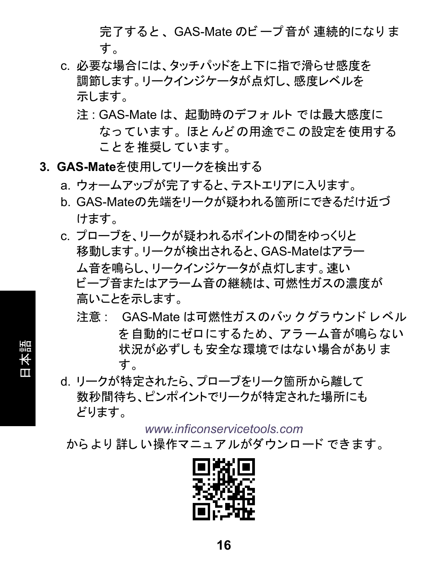完了すると、GAS-Mate のビープ音が 連続的になりま す。

- c. 必要な場合には、タッチパッドを上下に指で滑らせ感度を 調節します。リークインジケータが点灯し、感度レベルを 示します。
	- 注: GAS-Mate は、起動時のデフォルトでは最大感度に なっています。ほとんどの用途でこの設定を使用する ことを推奨しています。
- 3. GAS-Mateを使用してリークを検出する

目本語

- a. ウォームアップが完了すると、テストエリアに入ります。
- b. GAS-Mateの先端をリークが疑われる箇所にできるだけ近づ けます。
- c. プローブを. リークが疑われるポイントの間をゆっくりと 移動します。リークが検出されると、GAS-Mateはアラー ム音を鳴らし、リークインジケータが点灯します。速い ビープ音またはアラーム音の継続は、可燃性ガスの濃度が 高いことを示します。
	- 注意: GAS-Mate は可燃性ガスのバックグラウンドレベル を自動的にゼロにするため、 アラーム音が鳴らない 状況が必ずしも安全な環境ではない場合がありま す。
- d. リークが特定されたら、プローブをリーク箇所から離して 数秒間待ち、ピンポイントでリークが特定された場所にも どります。

*www.inficonservicetools.com*

からより詳しい操作マニュアルがダウンロードできます。